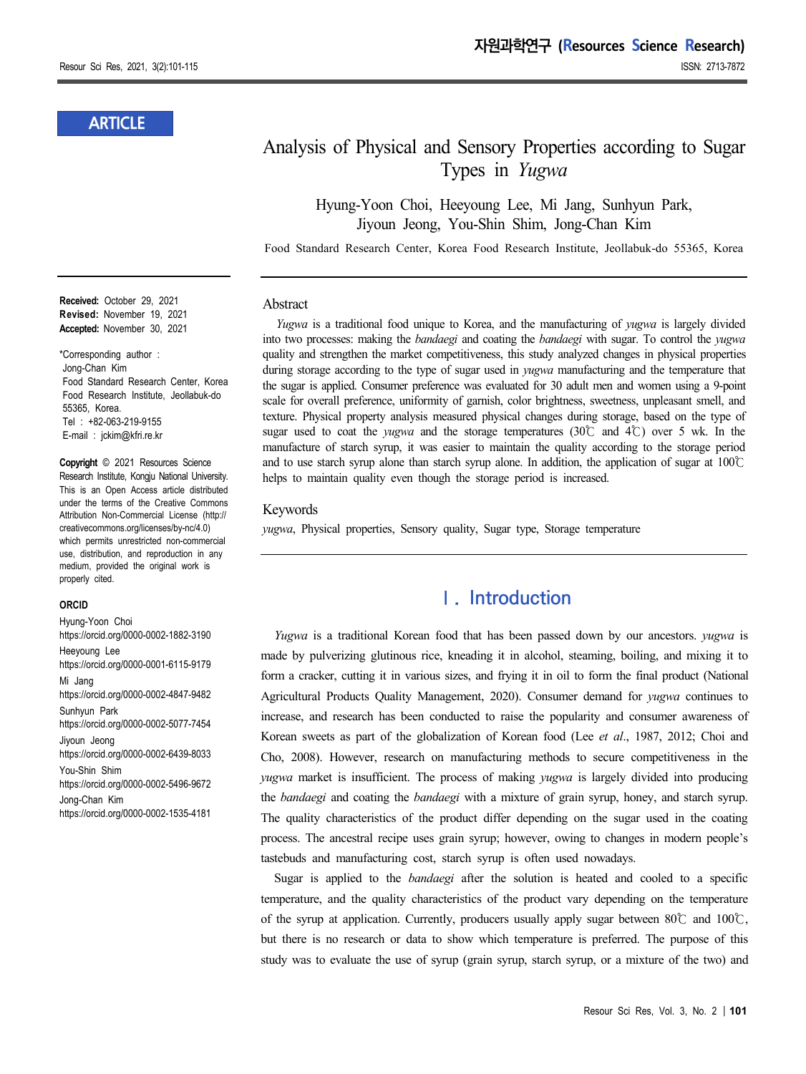### **ARTICLE**

# Analysis of Physical and Sensory Properties according to Sugar Types in *Yugwa*

Hyung-Yoon Choi, Heeyoung Lee, Mi Jang, Sunhyun Park, Jiyoun Jeong, You-Shin Shim, Jong-Chan Kim

Food Standard Research Center, Korea Food Research Institute, Jeollabuk-do 55365, Korea

#### **Abstract**

*Yugwa* is a traditional food unique to Korea, and the manufacturing of *yugwa* is largely divided into two processes: making the *bandaegi* and coating the *bandaegi* with sugar. To control the *yugwa* quality and strengthen the market competitiveness, this study analyzed changes in physical properties during storage according to the type of sugar used in *yugwa* manufacturing and the temperature that the sugar is applied. Consumer preference was evaluated for 30 adult men and women using a 9-point scale for overall preference, uniformity of garnish, color brightness, sweetness, unpleasant smell, and texture. Physical property analysis measured physical changes during storage, based on the type of sugar used to coat the *yugwa* and the storage temperatures (30℃ and 4℃) over 5 wk. In the manufacture of starch syrup, it was easier to maintain the quality according to the storage period and to use starch syrup alone than starch syrup alone. In addition, the application of sugar at 100℃ helps to maintain quality even though the storage period is increased.

#### Keywords

*yugwa*, Physical properties, Sensory quality, Sugar type, Storage temperature

### **Ⅰ. Introduction**

*Yugwa* is a traditional Korean food that has been passed down by our ancestors. *yugwa* is made by pulverizing glutinous rice, kneading it in alcohol, steaming, boiling, and mixing it to form a cracker, cutting it in various sizes, and frying it in oil to form the final product (National Agricultural Products Quality Management, 2020). Consumer demand for *yugwa* continues to increase, and research has been conducted to raise the popularity and consumer awareness of Korean sweets as part of the globalization of Korean food (Lee *et al*., 1987, 2012; Choi and Cho, 2008). However, research on manufacturing methods to secure competitiveness in the *yugwa* market is insufficient. The process of making *yugwa* is largely divided into producing the *bandaegi* and coating the *bandaegi* with a mixture of grain syrup, honey, and starch syrup. The quality characteristics of the product differ depending on the sugar used in the coating process. The ancestral recipe uses grain syrup; however, owing to changes in modern people's tastebuds and manufacturing cost, starch syrup is often used nowadays.

Sugar is applied to the *bandaegi* after the solution is heated and cooled to a specific temperature, and the quality characteristics of the product vary depending on the temperature of the syrup at application. Currently, producers usually apply sugar between 80℃ and 100℃, but there is no research or data to show which temperature is preferred. The purpose of this study was to evaluate the use of syrup (grain syrup, starch syrup, or a mixture of the two) and

**Received:** October 29, 2021 **Revised:** November 19, 2021 **Accepted:** November 30, 2021

\*Corresponding author : Jong-Chan Kim Food Standard Research Center, Korea Food Research Institute, Jeollabuk-do 55365, Korea. Tel : +82-063-219-9155 E-mail : jckim@kfri.re.kr

**Copyright** © 2021 Resources Science Research Institute, Kongju National University. This is an Open Access article distributed under the terms of the Creative Commons Attribution Non-Commercial License (http:// creativecommons.org/licenses/by-nc/4.0) which permits unrestricted non-commercial use, distribution, and reproduction in any medium, provided the original work is properly cited.

#### **ORCID**

Hyung-Yoon Choi https://orcid.org/0000-0002-1882-3190 Heeyoung Lee https://orcid.org/0000-0001-6115-9179 Mi Jang https://orcid.org/0000-0002-4847-9482 Sunhyun Park https://orcid.org/0000-0002-5077-7454 Jiyoun Jeong https://orcid.org/0000-0002-6439-8033 You-Shin Shim https://orcid.org/0000-0002-5496-9672 Jong-Chan Kim https://orcid.org/0000-0002-1535-4181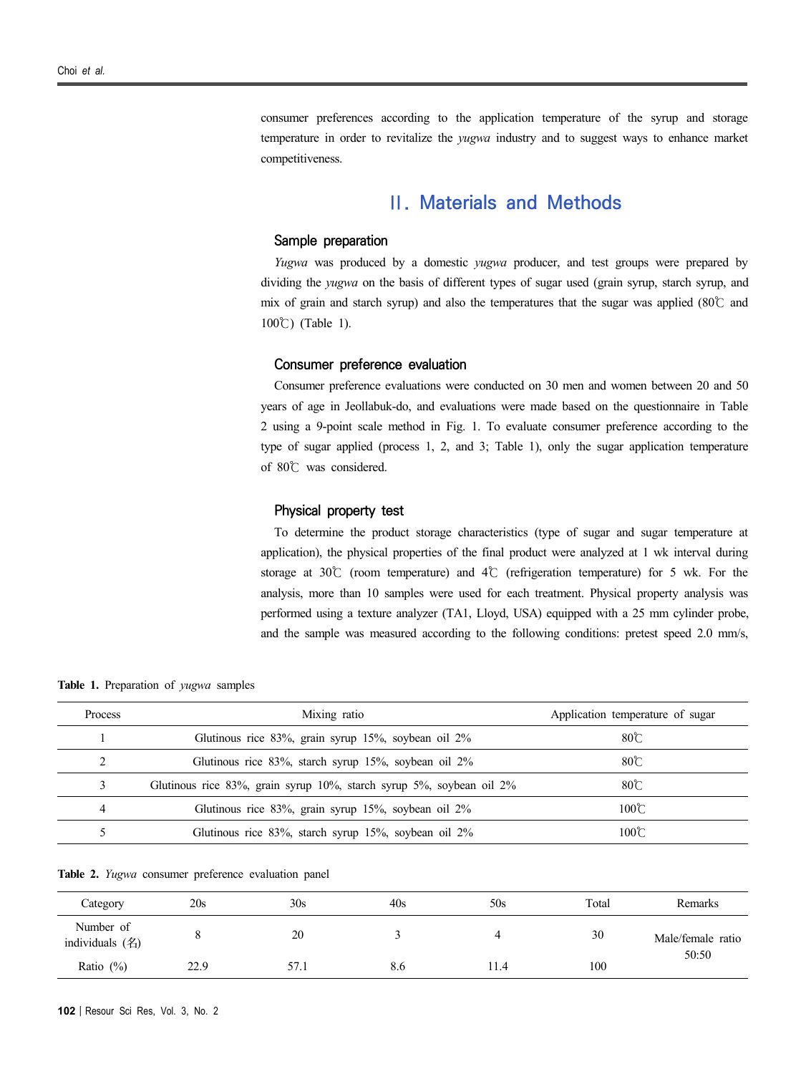consumer preferences according to the application temperature of the syrup and storage temperature in order to revitalize the *yugwa* industry and to suggest ways to enhance market competitiveness.

### **Ⅱ. Materials and Methods**

### **Sample preparation**

*Yugwa* was produced by a domestic *yugwa* producer, and test groups were prepared by dividing the *yugwa* on the basis of different types of sugar used (grain syrup, starch syrup, and mix of grain and starch syrup) and also the temperatures that the sugar was applied (80℃ and 100℃) (Table 1).

#### **Consumer preference evaluation**

Consumer preference evaluations were conducted on 30 men and women between 20 and 50 years of age in Jeollabuk-do, and evaluations were made based on the questionnaire in Table 2 using a 9-point scale method in Fig. 1. To evaluate consumer preference according to the type of sugar applied (process 1, 2, and 3; Table 1), only the sugar application temperature of 80℃ was considered.

#### **Physical property test**

To determine the product storage characteristics (type of sugar and sugar temperature at application), the physical properties of the final product were analyzed at 1 wk interval during storage at 30℃ (room temperature) and 4℃ (refrigeration temperature) for 5 wk. For the analysis, more than 10 samples were used for each treatment. Physical property analysis was performed using a texture analyzer (TA1, Lloyd, USA) equipped with a 25 mm cylinder probe, and the sample was measured according to the following conditions: pretest speed 2.0 mm/s,

**Table 1.** Preparation of *yugwa* samples

| Process | Mixing ratio                                                         | Application temperature of sugar |  |
|---------|----------------------------------------------------------------------|----------------------------------|--|
|         | Glutinous rice 83%, grain syrup 15%, soybean oil 2%                  | $80^\circ$ C                     |  |
|         | Glutinous rice 83%, starch syrup 15%, soybean oil 2%                 | $80^\circ$                       |  |
|         | Glutinous rice 83%, grain syrup 10%, starch syrup 5%, soybean oil 2% | $80^\circ$                       |  |
| 4       | Glutinous rice 83%, grain syrup 15%, soybean oil 2%                  | 100C                             |  |
|         | Glutinous rice 83%, starch syrup 15%, soybean oil 2%                 | $100\text{°C}$                   |  |

**Table 2.** *Yugwa* consumer preference evaluation panel

| Category                     | 20s  | 30s  | 40s | 50s  | Total | Remarks           |
|------------------------------|------|------|-----|------|-------|-------------------|
| Number of<br>individuals (名) |      | 20   |     |      | 30    | Male/female ratio |
| Ratio $(\%)$                 | 22.9 | 57.1 | 8.6 | 11.4 | 100   | 50:50             |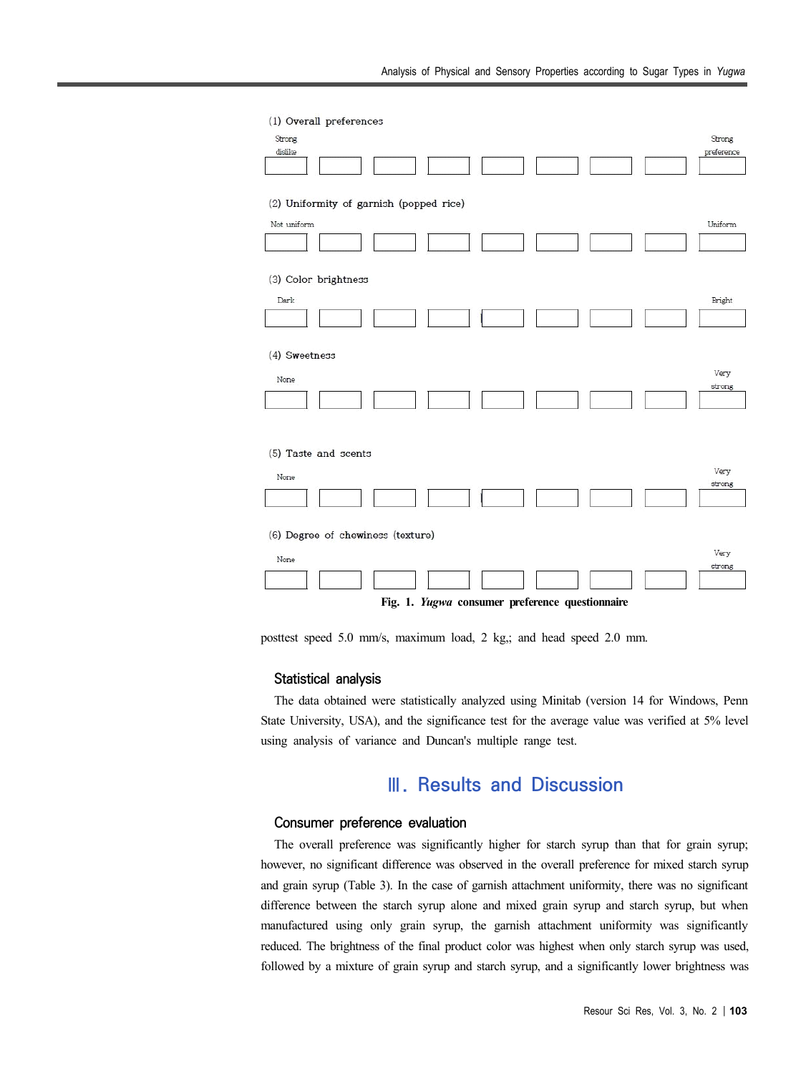| (1) Overall preferences                         |                      |  |  |  |  |  |  |  |
|-------------------------------------------------|----------------------|--|--|--|--|--|--|--|
| Strong<br>dislike                               | Strong<br>preference |  |  |  |  |  |  |  |
| (2) Uniformity of garnish (popped rice)         |                      |  |  |  |  |  |  |  |
| Not uniform                                     | Uniform              |  |  |  |  |  |  |  |
| (3) Color brightness                            |                      |  |  |  |  |  |  |  |
| Dark                                            | Bright               |  |  |  |  |  |  |  |
| (4) Sweetness                                   |                      |  |  |  |  |  |  |  |
| None                                            | Very<br>strong       |  |  |  |  |  |  |  |
| (5) Taste and scents                            |                      |  |  |  |  |  |  |  |
| None                                            | Very<br>strong       |  |  |  |  |  |  |  |
| (6) Degree of chewiness (texture)               |                      |  |  |  |  |  |  |  |
| None                                            | Very<br>strong       |  |  |  |  |  |  |  |
| Fig. 1. Yugwa consumer preference questionnaire |                      |  |  |  |  |  |  |  |

posttest speed 5.0 mm/s, maximum load, 2 kg,; and head speed 2.0 mm.

#### **Statistical analysis**

The data obtained were statistically analyzed using Minitab (version 14 for Windows, Penn State University, USA), and the significance test for the average value was verified at 5% level using analysis of variance and Duncan's multiple range test.

# **Ⅲ. Results and Discussion**

### **Consumer preference evaluation**

The overall preference was significantly higher for starch syrup than that for grain syrup; however, no significant difference was observed in the overall preference for mixed starch syrup and grain syrup (Table 3). In the case of garnish attachment uniformity, there was no significant difference between the starch syrup alone and mixed grain syrup and starch syrup, but when manufactured using only grain syrup, the garnish attachment uniformity was significantly reduced. The brightness of the final product color was highest when only starch syrup was used, followed by a mixture of grain syrup and starch syrup, and a significantly lower brightness was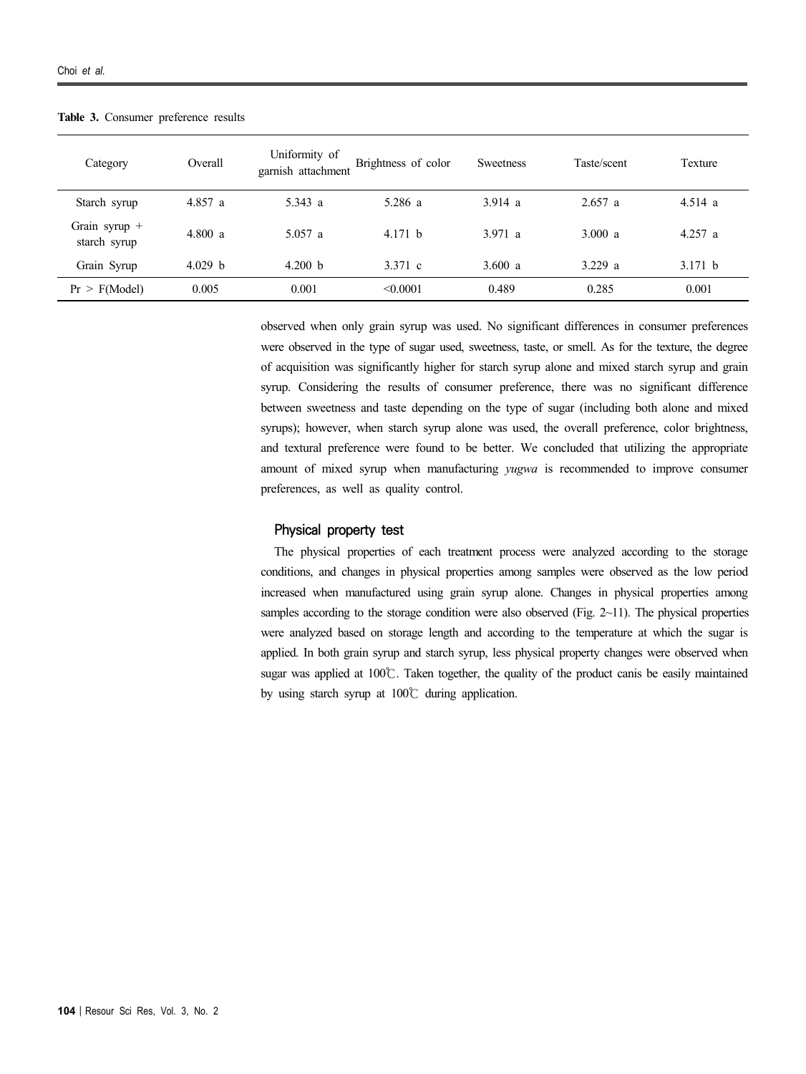| Category                      | Overall | Uniformity of<br>garnish attachment | Brightness of color | Sweetness | Taste/scent | Texture   |
|-------------------------------|---------|-------------------------------------|---------------------|-----------|-------------|-----------|
| Starch syrup                  | 4.857a  | 5.343 a                             | 5.286a              | 3.914 a   | $2.657$ a   | 4.514a    |
| Grain syrup +<br>starch syrup | 4.800 a | $5.057$ a                           | 4.171 $\bar{b}$     | 3.971 a   | 3.000 a     | $4.257$ a |
| Grain Syrup                   | 4.029 b | 4.200 b                             | 3.371 c             | 3.600 $a$ | 3.229 a     | 3.171 b   |
| Pr > F(Model)                 | 0.005   | 0.001                               | < 0.0001            | 0.489     | 0.285       | 0.001     |

**Table 3.** Consumer preference results

observed when only grain syrup was used. No significant differences in consumer preferences were observed in the type of sugar used, sweetness, taste, or smell. As for the texture, the degree of acquisition was significantly higher for starch syrup alone and mixed starch syrup and grain syrup. Considering the results of consumer preference, there was no significant difference between sweetness and taste depending on the type of sugar (including both alone and mixed syrups); however, when starch syrup alone was used, the overall preference, color brightness, and textural preference were found to be better. We concluded that utilizing the appropriate amount of mixed syrup when manufacturing *yugwa* is recommended to improve consumer preferences, as well as quality control.

#### **Physical property test**

The physical properties of each treatment process were analyzed according to the storage conditions, and changes in physical properties among samples were observed as the low period increased when manufactured using grain syrup alone. Changes in physical properties among samples according to the storage condition were also observed (Fig.  $2 \sim 11$ ). The physical properties were analyzed based on storage length and according to the temperature at which the sugar is applied. In both grain syrup and starch syrup, less physical property changes were observed when sugar was applied at 100℃. Taken together, the quality of the product canis be easily maintained by using starch syrup at 100℃ during application.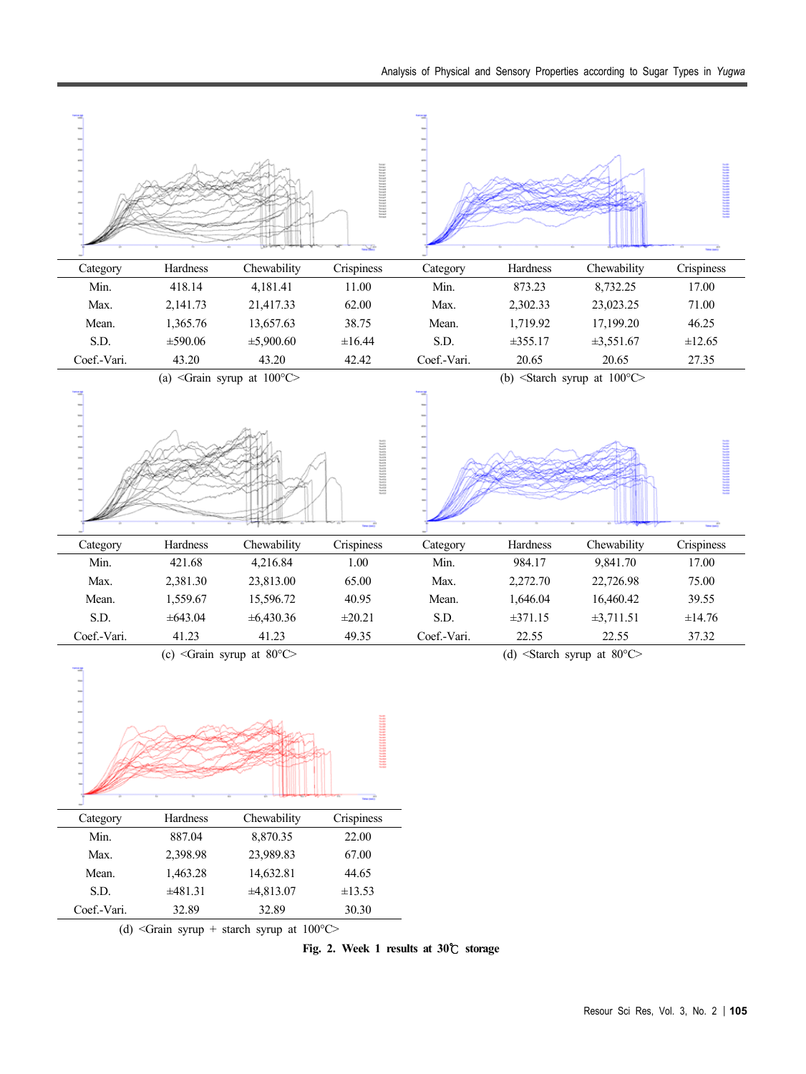

**Fig. 2. Week 1 results at 30**℃ **storage**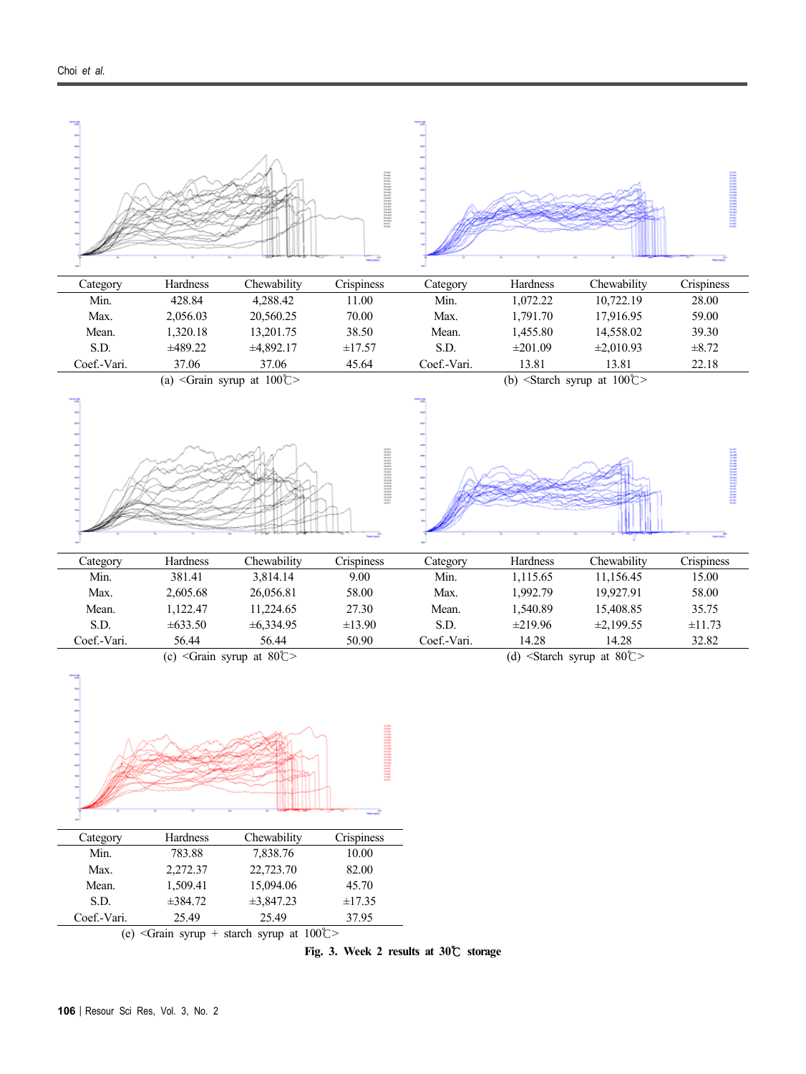

**Fig. 3. Week 2 results at 30**℃ **storage**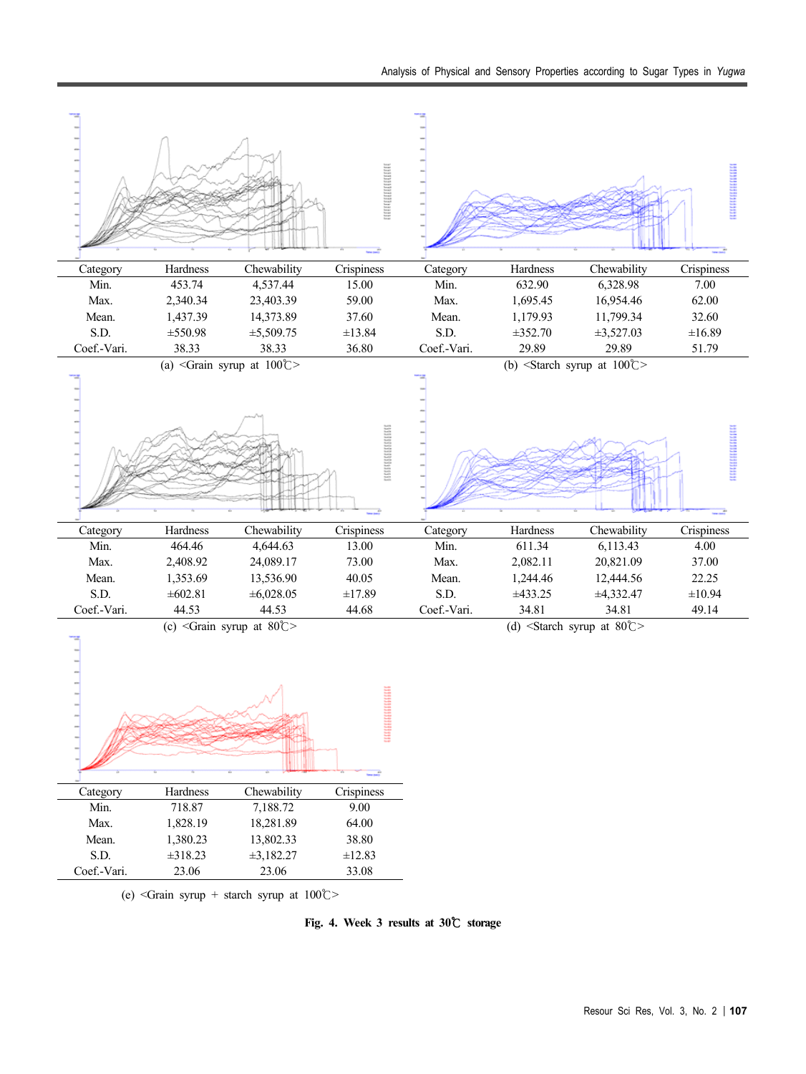

**Fig. 4. Week 3 results at 30**℃ **storage**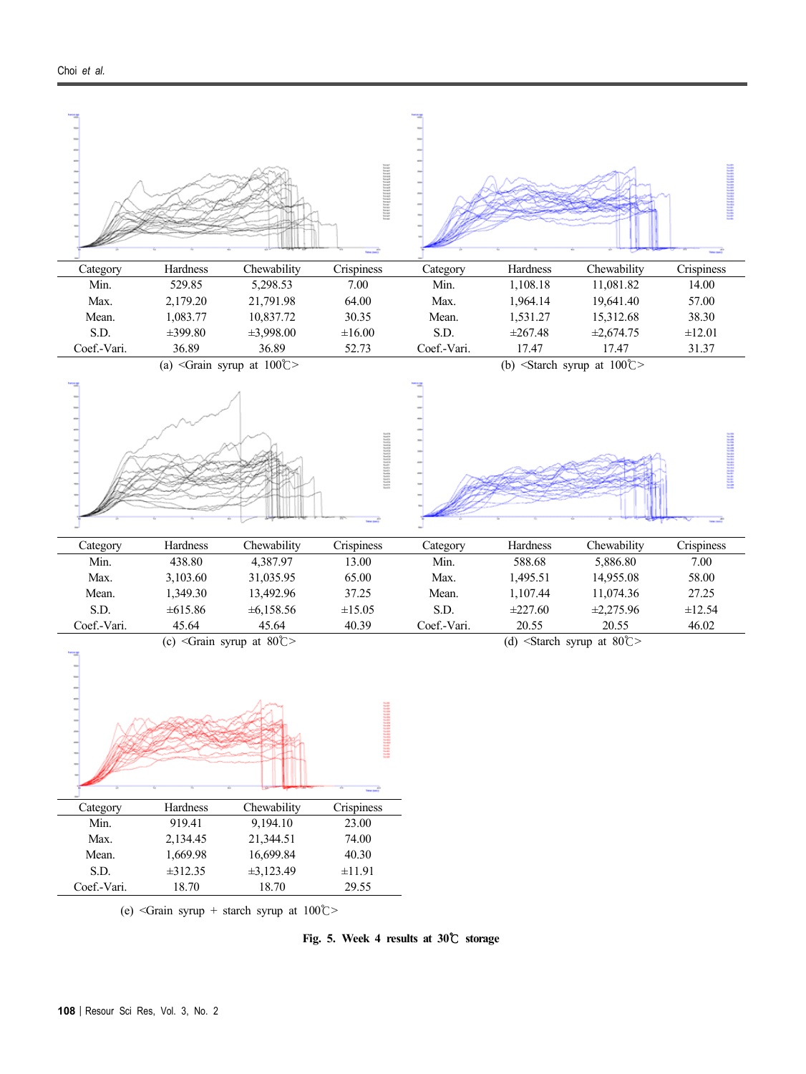

(e) <Grain syrup + starch syrup at  $100^{\circ}$ 

**Fig. 5. Week 4 results at 30**℃ **storage**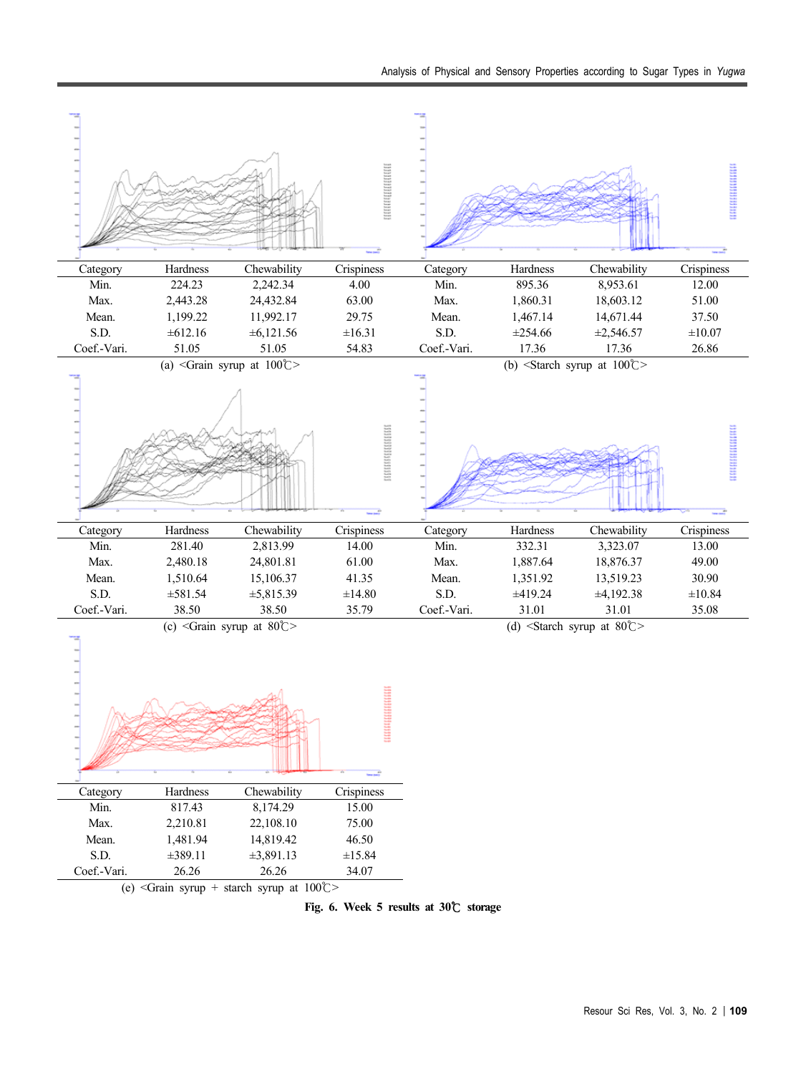

**Fig. 6. Week 5 results at 30**℃ **storage**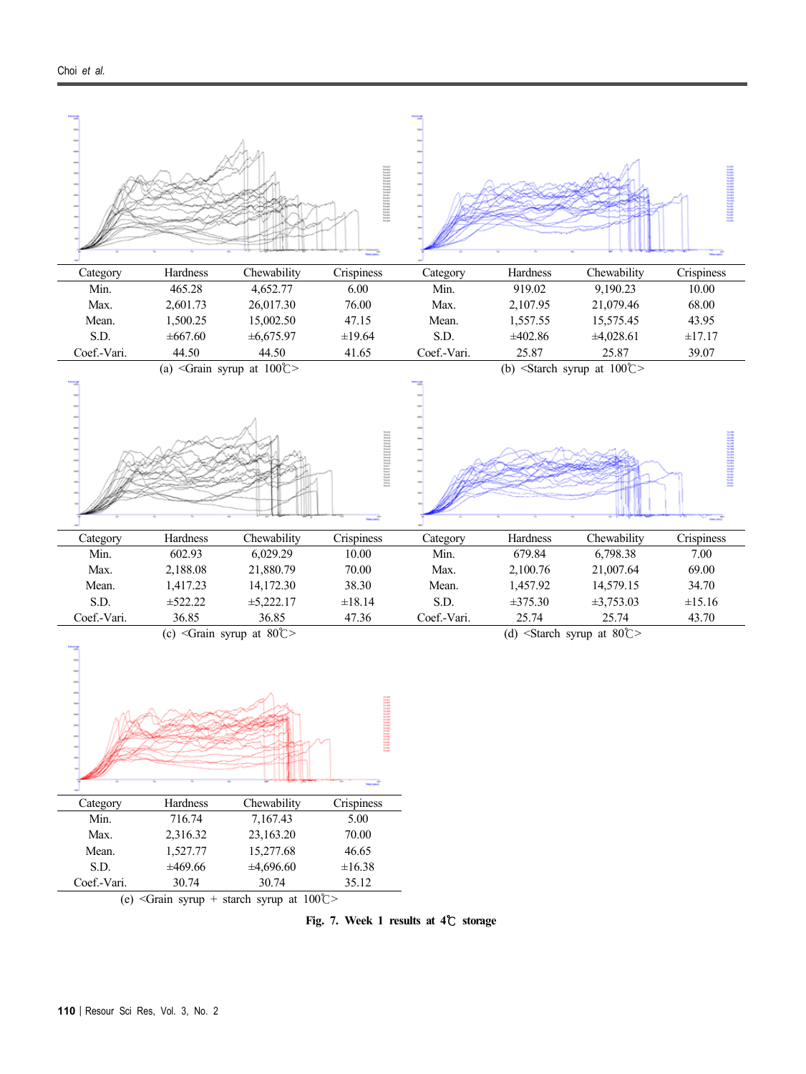

**Fig. 7. Week 1 results at 4**℃ **storage**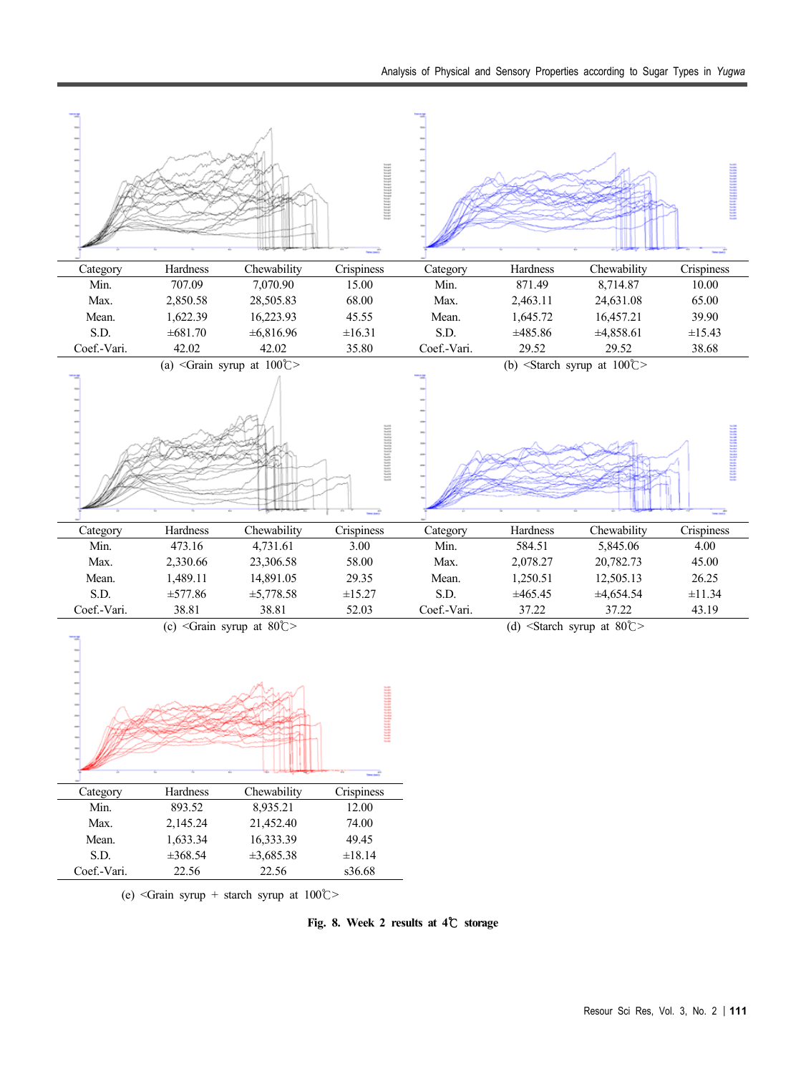

**Fig. 8. Week 2 results at 4**℃ **storage**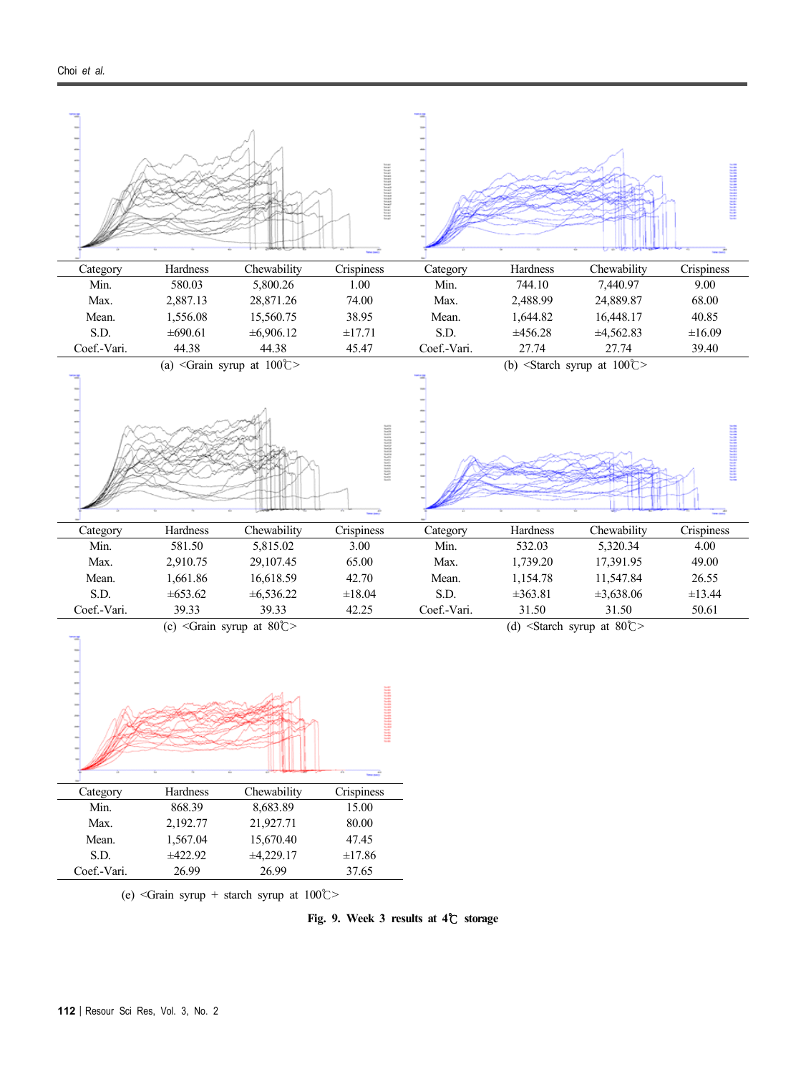

**Fig. 9. Week 3 results at 4**℃ **storage**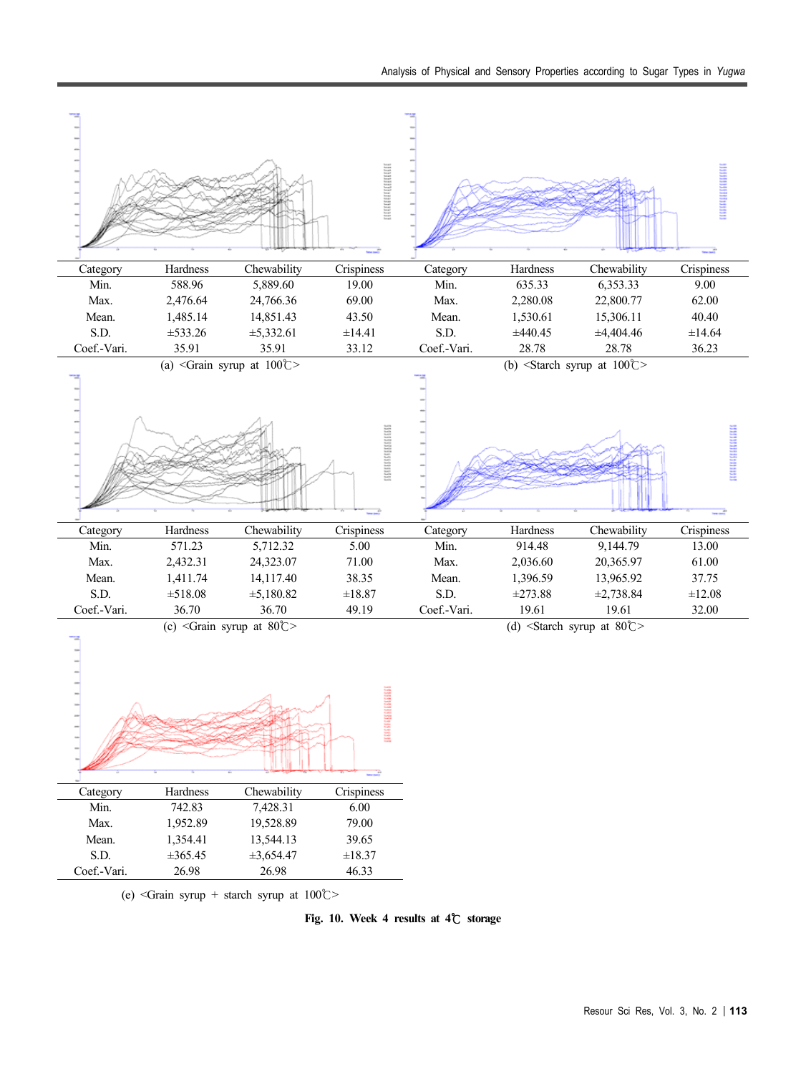

**Fig. 10. Week 4 results at 4**℃ **storage**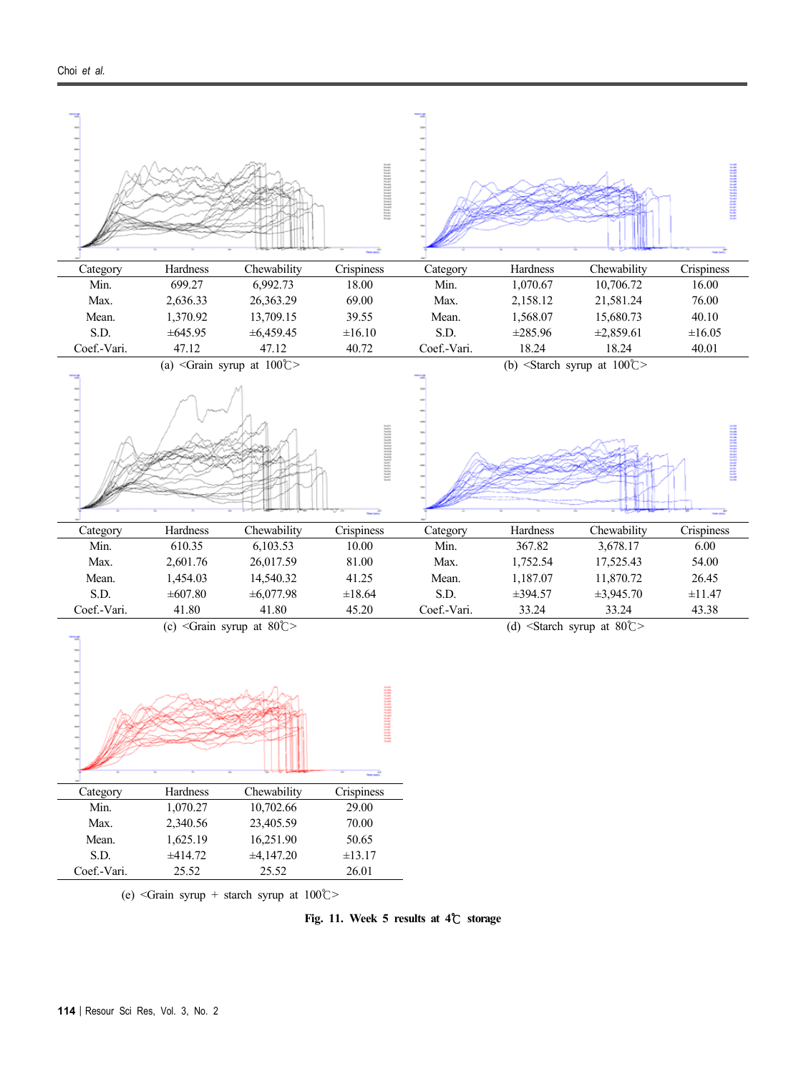

**Fig. 11. Week 5 results at 4**℃ **storage**